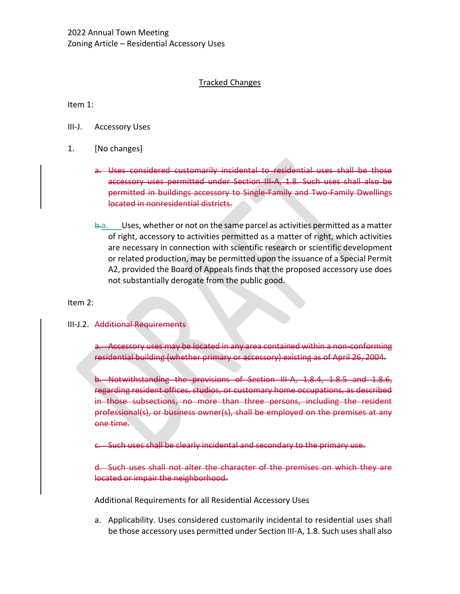## Tracked Changes

Item 1:

III-J. Accessory Uses

1. [No changes]

- a. Uses considered customarily incidental to residential uses shall be those accessory uses permitted under Section III-A, 1.8. Such uses shall also be permitted in buildings accessory to Single-Family and Two-Family Dwellings located in nonresidential districts.
- $\frac{1}{2}$  Uses, whether or not on the same parcel as activities permitted as a matter of right, accessory to activities permitted as a matter of right, which activities are necessary in connection with scientific research or scientific development or related production, may be permitted upon the issuance of a Special Permit A2, provided the Board of Appeals finds that the proposed accessory use does not substantially derogate from the public good.

Item 2:

## III-J.2. Additional Requirements

a. Accessory uses may be located in any area contained within a non-conforming residential building (whether primary or accessory) existing as of April 26, 2004.

b. Notwithstanding the provisions of Section III-A, 1.8.4, 1.8.5 and 1.8.6, regarding resident offices, studios, or customary home occupations, as described in those subsections, no more than three persons, including the resident professional(s), or business owner(s), shall be employed on the premises at any one time.

c. Such uses shall be clearly incidental and secondary to the primary use.

d. Such uses shall not alter the character of the premises on which they are located or impair the neighborhood.

Additional Requirements for all Residential Accessory Uses

a. Applicability. Uses considered customarily incidental to residential uses shall be those accessory uses permitted under Section III-A, 1.8. Such uses shall also